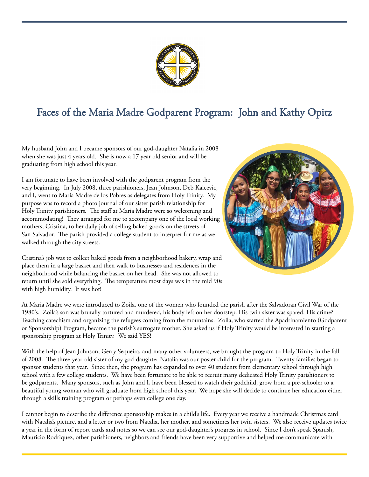

## Faces of the Maria Madre Godparent Program: John and Kathy Opitz

My husband John and I became sponsors of our god-daughter Natalia in 2008 when she was just 4 years old. She is now a 17 year old senior and will be graduating from high school this year.

I am fortunate to have been involved with the godparent program from the very beginning. In July 2008, three parishioners, Jean Johnson, Deb Kalcevic, and I, went to Maria Madre de los Pobres as delegates from Holy Trinity. My purpose was to record a photo journal of our sister parish relationship for Holy Trinity parishioners. The staff at Maria Madre were so welcoming and accommodating! They arranged for me to accompany one of the local working mothers, Cristina, to her daily job of selling baked goods on the streets of San Salvador. The parish provided a college student to interpret for me as we walked through the city streets.



Cristina's job was to collect baked goods from a neighborhood bakery, wrap and place them in a large basket and then walk to businesses and residences in the neighborhood while balancing the basket on her head. She was not allowed to return until she sold everything. The temperature most days was in the mid 90s with high humidity. It was hot!

At Maria Madre we were introduced to Zoila, one of the women who founded the parish after the Salvadoran Civil War of the 1980's. Zoila's son was brutally tortured and murdered, his body left on her doorstep. His twin sister was spared. His crime? Teaching catechism and organizing the refugees coming from the mountains. Zoila, who started the Apadrinamiento (Godparent or Sponsorship) Program, became the parish's surrogate mother. She asked us if Holy Trinity would be interested in starting a sponsorship program at Holy Trinity. We said YES!

With the help of Jean Johnson, Gerry Sequeira, and many other volunteers, we brought the program to Holy Trinity in the fall of 2008. The three-year-old sister of my god-daughter Natalia was our poster child for the program. Twenty families began to sponsor students that year. Since then, the program has expanded to over 40 students from elementary school through high school with a few college students. We have been fortunate to be able to recruit many dedicated Holy Trinity parishioners to be godparents. Many sponsors, such as John and I, have been blessed to watch their godchild, grow from a pre-schooler to a beautiful young woman who will graduate from high school this year. We hope she will decide to continue her education either through a skills training program or perhaps even college one day.

I cannot begin to describe the difference sponsorship makes in a child's life. Every year we receive a handmade Christmas card with Natalia's picture, and a letter or two from Natalia, her mother, and sometimes her twin sisters. We also receive updates twice a year in the form of report cards and notes so we can see our god-daughter's progress in school. Since I don't speak Spanish, Mauricio Rodriquez, other parishioners, neighbors and friends have been very supportive and helped me communicate with